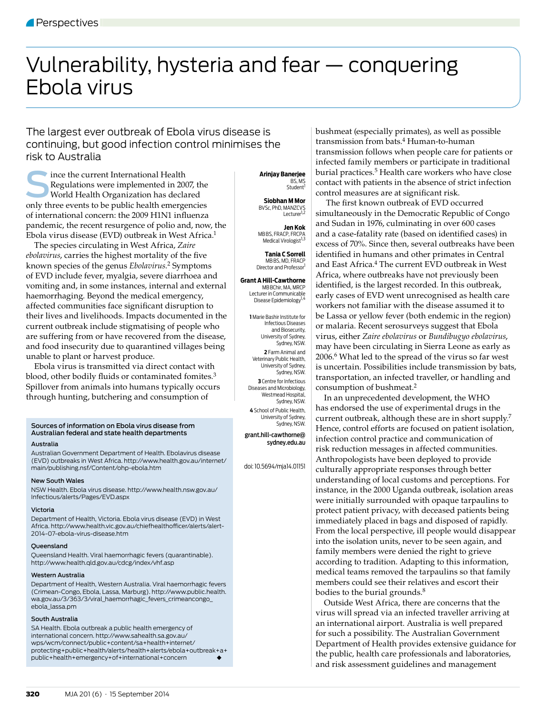# Vulnerability, hysteria and fear — conquering Ebola virus

The largest ever outbreak of Ebola virus disease is continuing, but good infection control minimises the risk to Australia

Since the current International Health<br>
Regulations were implemented in 2007, the<br>
World Health Organization has declared<br>
only three events to be public health emergencies Regulations were implemented in 2007, the World Health Organization has declared of international concern: the 2009 H1N1 influenza pandemic, the recent resurgence of polio and, now, the Ebola virus disease (EVD) outbreak in West Africa.1

The species circulating in West Africa, *Zaire ebolavirus*, carries the highest mortality of the five known species of the genus *Ebolavirus*. 2 Symptoms of EVD include fever, myalgia, severe diarrhoea and vomiting and, in some instances, internal and external haemorrhaging. Beyond the medical emergency, affected communities face significant disruption to their lives and livelihoods. Impacts documented in the current outbreak include stigmatising of people who are suffering from or have recovered from the disease, and food insecurity due to quarantined villages being unable to plant or harvest produce.

Ebola virus is transmitted via direct contact with blood, other bodily fluids or contaminated fomites.<sup>3</sup> Spillover from animals into humans typically occurs through hunting, butchering and consumption of

#### Sources of information on Ebola virus disease from Australian federal and state health departments Australia

Australian Government Department of Health. Ebolavirus disease (EVD) outbreaks in West Africa. http://www.health.gov.au/internet/ main/publishing.nsf/Content/ohp-ebola.htm

# New South Wales

NSW Health. Ebola virus disease. http://www.health.nsw.gov.au/ Infectious/alerts/Pages/EVD.aspx

# Victoria

Department of Health, Victoria. Ebola virus disease (EVD) in West Africa. http://www.health.vic.gov.au/chiefhealthofficer/alerts/alert-2014-07-ebola-virus-disease.htm

### Queensland

Queensland Health. Viral haemorrhagic fevers (quarantinable). http://www.health.qld.gov.au/cdcg/index/vhf.asp

#### Western Australia

Department of Health, Western Australia. Viral haemorrhagic fevers (Crimean-Congo, Ebola, Lassa, Marburg). http://www.public.health. wa.gov.au/3/363/3/viral\_haemorrhagic\_fevers\_crimeancongo\_ ebola\_lassa.pm

#### South Australia

SA Health. Ebola outbreak a public health emergency of international concern. http://www.sahealth.sa.gov.au/ wps/wcm/connect/public+content/sa+health+internet/ protecting+public+health/alerts/health+alerts/ebola+outbreak+a+ public+health+emergency+of+international+concern

 **Arinjay Banerjee** BS, MS Student

**Siobhan M Mor** BVSc, PhD, MANZCVS<br>Lecturer<sup>1,2</sup>

**Jen Kok** MB BS, FRACP, FRCPA<br><sup>1,3</sup> Medical Virologist

**Tania C Sorrell** MBRS, MD, FRACE Director and Professor<sup>1</sup>

**Grant A Hill-Cawthorne** MB BChir, MA, MRCP Lecturer in Communicable Disease Epidemiology1,4

> **1** Marie Bashir Institute for Infectious Diseases and Biosecurity, University of Sydney, Sydney, NSW. **2** Farm Animal and Veterinary Public Health, University of Sydney, Sydney, NSW. **3** Centre for Infectious Diseases and Microbiology, Westmead Hospital Sydney, NSW. **4** School of Public Health, University of Sydney, Sydney, NSW.

grant.hill-cawthorne@ sydney.edu.au

doi: 10.5694/mja14.01151

bushmeat (especially primates), as well as possible transmission from bats.4 Human-to-human transmission follows when people care for patients or infected family members or participate in traditional burial practices.5 Health care workers who have close contact with patients in the absence of strict infection control measures are at significant risk.

The first known outbreak of EVD occurred simultaneously in the Democratic Republic of Congo and Sudan in 1976, culminating in over 600 cases and a case-fatality rate (based on identified cases) in excess of 70%. Since then, several outbreaks have been identified in humans and other primates in Central and East Africa.<sup>4</sup> The current EVD outbreak in West Africa, where outbreaks have not previously been identified, is the largest recorded. In this outbreak, early cases of EVD went unrecognised as health care workers not familiar with the disease assumed it to be Lassa or yellow fever (both endemic in the region) or malaria. Recent serosurveys suggest that Ebola virus, either *Zaire ebolavirus* or *Bundibugyo ebolavirus*, may have been circulating in Sierra Leone as early as 2006.6 What led to the spread of the virus so far west is uncertain. Possibilities include transmission by bats, transportation, an infected traveller, or handling and consumption of bushmeat.<sup>2</sup>

In an unprecedented development, the WHO has endorsed the use of experimental drugs in the current outbreak, although these are in short supply.7 Hence, control efforts are focused on patient isolation, infection control practice and communication of risk reduction messages in affected communities. Anthropologists have been deployed to provide culturally appropriate responses through better understanding of local customs and perceptions. For instance, in the 2000 Uganda outbreak, isolation areas were initially surrounded with opaque tarpaulins to protect patient privacy, with deceased patients being immediately placed in bags and disposed of rapidly. From the local perspective, ill people would disappear into the isolation units, never to be seen again, and family members were denied the right to grieve according to tradition. Adapting to this information, medical teams removed the tarpaulins so that family members could see their relatives and escort their bodies to the burial grounds.<sup>8</sup>

Outside West Africa, there are concerns that the virus will spread via an infected traveller arriving at an international airport. Australia is well prepared for such a possibility. The Australian Government Department of Health provides extensive guidance for the public, health care professionals and laboratories, and risk assessment guidelines and management